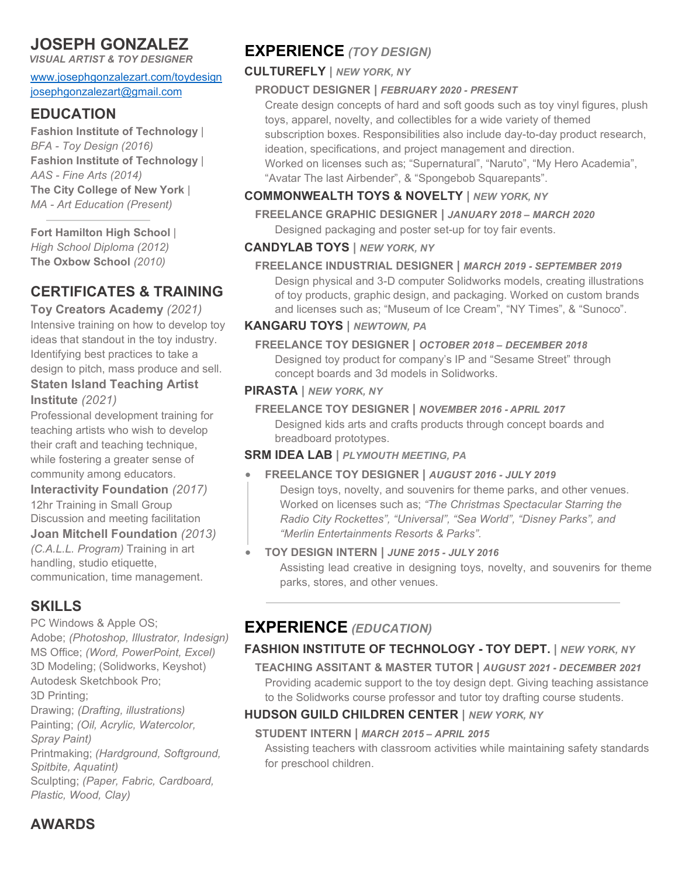# **JOSEPH GONZALEZ**

*VISUAL ARTIST & TOY DESIGNER*

[www.josephgonzalezart.com/toydesign](http://www.josephgonzalezart.com/toydesign) [josephgonzalezart@gmail.com](mailto:josephgonzalezart@gmail.com)

## **EDUCATION**

**[Fashion Institute of Technology](https://www.fitnyc.edu/index.php)** | *BFA - [Toy Design](https://www.fitnyc.edu/toy-design/index.php) (2016)* **[Fashion Institute of Technology](https://www.fitnyc.edu/index.php)** | *AAS - [Fine Arts](https://www.fitnyc.edu/fine-arts/index.php) (2014)* **[The City College of New York](https://www.ccny.cuny.edu/)** | *MA - [Art Education](https://www.ccny.cuny.edu/arted) (Present)*

**[Fort Hamilton High School](https://www.fthhs.org/)** | *High School Diploma (2012)* **[The Oxbow School](https://www.oxbowschool.org/)** *(2010)*

# **CERTIFICATES & TRAINING**

**[Toy Creators Academy](https://toycreatorsacademy.com/)** *(2021)* Intensive training on how to develop toy ideas that standout in the toy industry. Identifying best practices to take a design to pitch, mass produce and sell.

### **[Staten Island Teaching Artist](https://statenislandarts.org/programs/arts-in-education/)  [Institute](https://statenislandarts.org/programs/arts-in-education/)** *(2021)*

Professional development training for teaching artists who wish to develop their craft and teaching technique, while fostering a greater sense of community among educators.

### **[Interactivity Foundation](https://www.interactivityfoundation.org/)** *(2017)*

12hr Training in Small Group Discussion and meeting facilitation

#### **[Joan Mitchell Foundation](https://www.joanmitchellfoundation.org/)** *(2013)*

*[\(C.A.L.L. Program\)](https://www.joanmitchellfoundation.org/creating-a-living-legacy)* Training in art handling, studio etiquette, communication, time management.

# **SKILLS**

PC [Windows](https://www.microsoft.com/en-us/windows) & [Apple](https://www.apple.com/) OS; [Adobe;](https://www.adobe.com/) *[\(Photoshop,](https://www.adobe.com/products/photoshop.html) [Illustrator,](https://www.adobe.com/products/illustrator.html) [Indesign\)](https://www.adobe.com/products/indesign.html)* [MS Office;](https://www.microsoft.com/en-us/microsoft-365/microsoft-office) *[\(Word,](https://www.microsoft.com/en-us/microsoft-365/word) [PowerPoint,](https://www.microsoft.com/en-us/microsoft-365/powerpoint) [Excel\)](https://www.microsoft.com/en-us/microsoft-365/excel)* 3D Modeling; [\(Solidworks,](https://www.solidworks.com/) [Keyshot\)](https://www.keyshot.com/) [Autodesk](https://www.autodesk.com/) [Sketchbook Pro;](https://www.sketchbook.com/) 3D Printing; Drawing; *(Drafting, illustrations)* Painting; *(Oil, Acrylic, Watercolor, Spray Paint)* Printmaking; *(Hardground, Softground, Spitbite, Aquatint)* Sculpting; *(Paper, Fabric, Cardboard, Plastic, Wood, Clay)*

# **EXPERIENCE** *(TOY DESIGN)*

## **[CULTUREFLY](https://culturefly.com/) |** *NEW YORK, NY*

## **PRODUCT DESIGNER |** *FEBRUARY 2020 - PRESENT*

Create design concepts of hard and soft goods such as toy vinyl figures, plush toys, apparel, novelty, and collectibles for a wide variety of themed subscription boxes. Responsibilities also include day-to-day product research, ideation, specifications, and project management and direction. Worked on licenses such as; ["Supernatural](https://culturefly.com/pages/supernatural)", ["Naruto"](https://culturefly.com/pages/naruto-shippuden), ["My Hero Academia"](https://culturefly.com/pages/my-hero-academia), ["Avatar The last Airbender"](https://culturefly.com/pages/avatar?gclid=Cj0KCQiAi9mPBhCJARIsAHchl1yjP-yG8xa8EdxYCX_ASHcTWjTJcfOJ2vLXlKD2YRFU1dX7fqStErwaAvBcEALw_wcB), & ["Spongebob Squarepants"](https://culturefly.com/pages/bikinibottombox).

## **[COMMONWEALTH TOYS & NOVELTY](http://commonwealthtoy.com/) |** *NEW YORK, NY*

**FREELANCE GRAPHIC DESIGNER |** *JANUARY 2018 – MARCH 2020* Designed packaging and poster set-up for toy fair events.

## **[CANDYLAB TOYS](https://www.candylabtoys.com/) |** *NEW YORK, NY*

**FREELANCE INDUSTRIAL DESIGNER |** *MARCH 2019 - SEPTEMBER 2019* Design physical and 3-D computer [Solidworks](https://www.solidworks.com/) models, creating illustrations of toy products, graphic design, and packaging. Worked on custom brands and licenses such as; ["Museum of Ice Cream"](https://www.museumoficecream.com/), ["NY Times"](https://www.nytimes.com/), & ["Sunoco"](https://www.sunoco.com/).

## **[KANGARU TOYS](https://www.kangarutoys.com/) |** *NEWTOWN, PA*

**FREELANCE TOY DESIGNER |** *OCTOBER 2018 – DECEMBER 2018* Designed toy product for company's IP and ["Sesame Street"](https://www.sesamestreet.org/) through concept boards and 3d models in [Solidworks.](https://www.solidworks.com/)

#### **[PIRASTA](https://www.pirastanyc.com/) |** *NEW YORK, NY*

#### **FREELANCE TOY DESIGNER |** *NOVEMBER 2016 - APRIL 2017* Designed kids arts and crafts products through concept boards and breadboard prototypes.

### **[SRM IDEA LAB](https://www.srmentertainment.com/) |** *PLYMOUTH MEETING, PA*

### • **FREELANCE TOY DESIGNER |** *AUGUST 2016 - JULY 2019*

Design toys, novelty, and souvenirs for theme parks, and other venues. Worked on licenses such as; *["The Christmas Spectacular Starring the](https://www.rockettes.com/christmas/)  [Radio City Rockettes"](https://www.rockettes.com/christmas/), ["Universal"](https://www.universalparks.com/en/us), ["Sea World"](https://seaworld.com/), ["Disney Parks"](https://disneyparks.disney.go.com/), and ["Merlin Entertainments Resorts & Parks"](https://www.merlinentertainments.biz/).*

### • **TOY DESIGN INTERN |** *JUNE 2015 - JULY 2016* Assisting lead creative in designing toys, novelty, and souvenirs for theme parks, stores, and other venues.

# **EXPERIENCE** *(EDUCATION)*

## **[FASHION INSTITUTE OF TECHNOLOGY](https://www.fitnyc.edu/index.php) - [TOY DEPT.](https://www.fitnyc.edu/toy-design/index.php) |** *NEW YORK, NY*

**TEACHING ASSITANT & MASTER TUTOR |** *AUGUST 2021 - DECEMBER 2021* Providing academic support to the [toy design dept.](https://www.fitnyc.edu/toy-design/index.php) Giving teaching assistance to the [Solidworks](https://www.solidworks.com/) course professor and tutor toy drafting course students.

## **[HUDSON GUILD CHILDREN CENTER](https://hudsonguild.org/) |** *NEW YORK, NY*

### **STUDENT INTERN |** *MARCH 2015 – APRIL 2015*

Assisting teachers with classroom activities while maintaining safety standards for preschool children.

# **AWARDS**